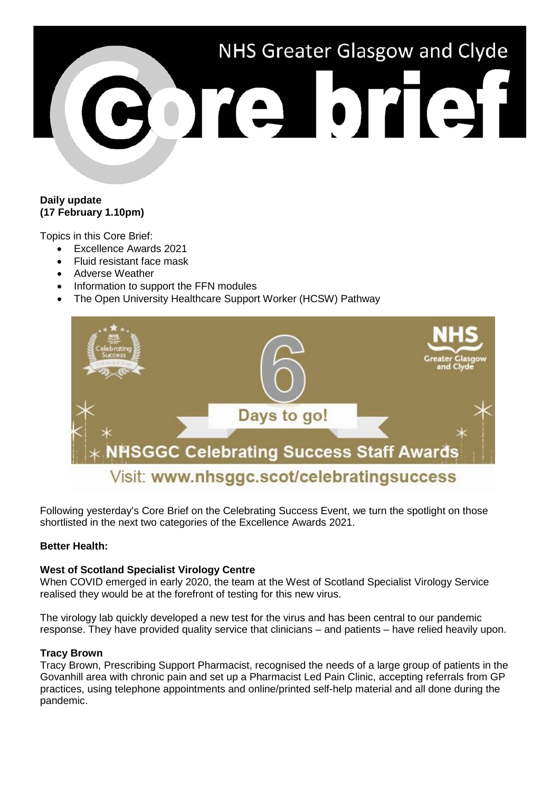

# **Daily update (17 February 1.10pm)**

Topics in this Core Brief:

- Excellence Awards 2021
- Fluid resistant face mask
- Adverse Weather
- Information to support the FFN modules
- The Open University Healthcare Support Worker (HCSW) Pathway



Following yesterday's Core Brief on the Celebrating Success Event, we turn the spotlight on those shortlisted in the next two categories of the Excellence Awards 2021.

## **Better Health:**

## **West of Scotland Specialist Virology Centre**

When COVID emerged in early 2020, the team at the West of Scotland Specialist Virology Service realised they would be at the forefront of testing for this new virus.

The virology lab quickly developed a new test for the virus and has been central to our pandemic response. They have provided quality service that clinicians – and patients – have relied heavily upon.

## **Tracy Brown**

Tracy Brown, Prescribing Support Pharmacist, recognised the needs of a large group of patients in the Govanhill area with chronic pain and set up a Pharmacist Led Pain Clinic, accepting referrals from GP practices, using telephone appointments and online/printed self-help material and all done during the pandemic.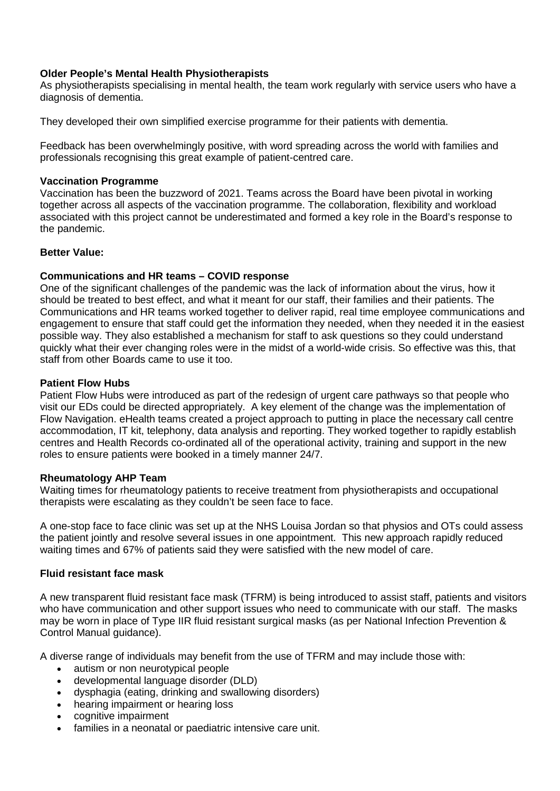# **Older People's Mental Health Physiotherapists**

As physiotherapists specialising in mental health, the team work regularly with service users who have a diagnosis of dementia.

They developed their own simplified exercise programme for their patients with dementia.

Feedback has been overwhelmingly positive, with word spreading across the world with families and professionals recognising this great example of patient-centred care.

#### **Vaccination Programme**

Vaccination has been the buzzword of 2021. Teams across the Board have been pivotal in working together across all aspects of the vaccination programme. The collaboration, flexibility and workload associated with this project cannot be underestimated and formed a key role in the Board's response to the pandemic.

## **Better Value:**

## **Communications and HR teams – COVID response**

One of the significant challenges of the pandemic was the lack of information about the virus, how it should be treated to best effect, and what it meant for our staff, their families and their patients. The Communications and HR teams worked together to deliver rapid, real time employee communications and engagement to ensure that staff could get the information they needed, when they needed it in the easiest possible way. They also established a mechanism for staff to ask questions so they could understand quickly what their ever changing roles were in the midst of a world-wide crisis. So effective was this, that staff from other Boards came to use it too.

#### **Patient Flow Hubs**

Patient Flow Hubs were introduced as part of the redesign of urgent care pathways so that people who visit our EDs could be directed appropriately. A key element of the change was the implementation of Flow Navigation. eHealth teams created a project approach to putting in place the necessary call centre accommodation, IT kit, telephony, data analysis and reporting. They worked together to rapidly establish centres and Health Records co-ordinated all of the operational activity, training and support in the new roles to ensure patients were booked in a timely manner 24/7.

#### **Rheumatology AHP Team**

Waiting times for rheumatology patients to receive treatment from physiotherapists and occupational therapists were escalating as they couldn't be seen face to face.

A one-stop face to face clinic was set up at the NHS Louisa Jordan so that physios and OTs could assess the patient jointly and resolve several issues in one appointment. This new approach rapidly reduced waiting times and 67% of patients said they were satisfied with the new model of care.

#### **Fluid resistant face mask**

A new transparent fluid resistant face mask (TFRM) is being introduced to assist staff, patients and visitors who have communication and other support issues who need to communicate with our staff. The masks may be worn in place of Type IIR fluid resistant surgical masks (as per National Infection Prevention & Control Manual guidance).

A diverse range of individuals may benefit from the use of TFRM and may include those with:

- autism or non neurotypical people
- developmental language disorder (DLD)
- dysphagia (eating, drinking and swallowing disorders)
- hearing impairment or hearing loss
- cognitive impairment
- families in a neonatal or paediatric intensive care unit.